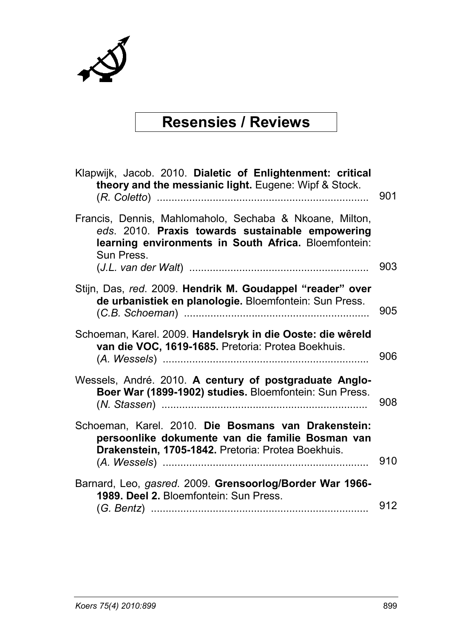

### **Resensies / Reviews**

| Klapwijk, Jacob. 2010. Dialetic of Enlightenment: critical<br>theory and the messianic light. Eugene: Wipf & Stock.                                                               | 901 |
|-----------------------------------------------------------------------------------------------------------------------------------------------------------------------------------|-----|
| Francis, Dennis, Mahlomaholo, Sechaba & Nkoane, Milton,<br>eds. 2010. Praxis towards sustainable empowering<br>learning environments in South Africa. Bloemfontein:<br>Sun Press. | 903 |
| Stijn, Das, red. 2009. Hendrik M. Goudappel "reader" over<br>de urbanistiek en planologie. Bloemfontein: Sun Press.                                                               | 905 |
| Schoeman, Karel. 2009. Handelsryk in die Ooste: die wêreld<br>van die VOC, 1619-1685. Pretoria: Protea Boekhuis.                                                                  | 906 |
| Wessels, André. 2010. A century of postgraduate Anglo-<br>Boer War (1899-1902) studies. Bloemfontein: Sun Press.                                                                  | 908 |
| Schoeman, Karel. 2010. Die Bosmans van Drakenstein:<br>persoonlike dokumente van die familie Bosman van<br>Drakenstein, 1705-1842. Pretoria: Protea Boekhuis.                     | 910 |
| Barnard, Leo, gasred. 2009. Grensoorlog/Border War 1966-<br>1989. Deel 2. Bloemfontein: Sun Press.                                                                                | 912 |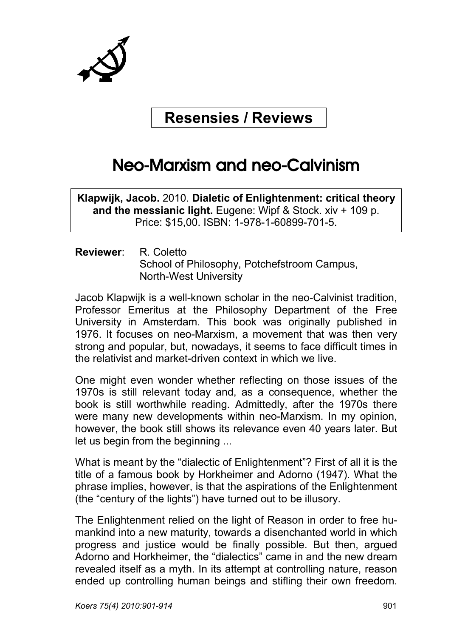

### **Resensies / Reviews**

# Neo-Marxism and neo-Calvinism

**Klapwijk, Jacob.** 2010. **Dialetic of Enlightenment: critical theory and the messianic light.** Eugene: Wipf & Stock. xiv + 109 p. Price: \$15,00. ISBN: 1-978-1-60899-701-5.

**Reviewer**: R. Coletto School of Philosophy, Potchefstroom Campus, North-West University

Jacob Klapwijk is a well-known scholar in the neo-Calvinist tradition, Professor Emeritus at the Philosophy Department of the Free University in Amsterdam. This book was originally published in 1976. It focuses on neo-Marxism, a movement that was then very strong and popular, but, nowadays, it seems to face difficult times in the relativist and market-driven context in which we live.

One might even wonder whether reflecting on those issues of the 1970s is still relevant today and, as a consequence, whether the book is still worthwhile reading. Admittedly, after the 1970s there were many new developments within neo-Marxism. In my opinion, however, the book still shows its relevance even 40 years later. But let us begin from the beginning ...

What is meant by the "dialectic of Enlightenment"? First of all it is the title of a famous book by Horkheimer and Adorno (1947). What the phrase implies, however, is that the aspirations of the Enlightenment (the "century of the lights") have turned out to be illusory.

The Enlightenment relied on the light of Reason in order to free humankind into a new maturity, towards a disenchanted world in which progress and justice would be finally possible. But then, argued Adorno and Horkheimer, the "dialectics" came in and the new dream revealed itself as a myth. In its attempt at controlling nature, reason ended up controlling human beings and stifling their own freedom.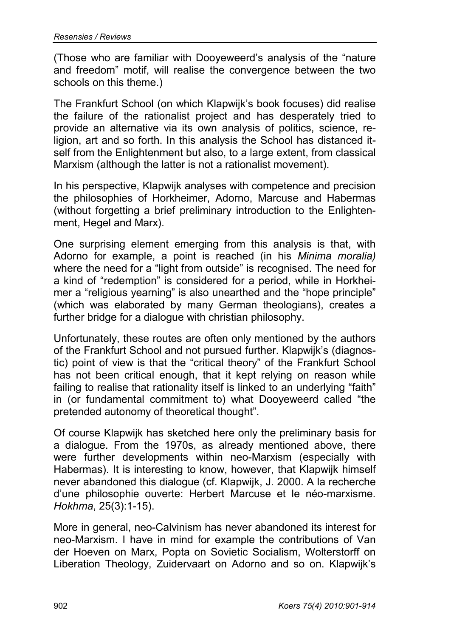(Those who are familiar with Dooyeweerd's analysis of the "nature and freedom" motif, will realise the convergence between the two schools on this theme.)

The Frankfurt School (on which Klapwijk's book focuses) did realise the failure of the rationalist project and has desperately tried to provide an alternative via its own analysis of politics, science, religion, art and so forth. In this analysis the School has distanced itself from the Enlightenment but also, to a large extent, from classical Marxism (although the latter is not a rationalist movement).

In his perspective, Klapwijk analyses with competence and precision the philosophies of Horkheimer, Adorno, Marcuse and Habermas (without forgetting a brief preliminary introduction to the Enlightenment, Hegel and Marx).

One surprising element emerging from this analysis is that, with Adorno for example, a point is reached (in his *Minima moralia)* where the need for a "light from outside" is recognised. The need for a kind of "redemption" is considered for a period, while in Horkheimer a "religious yearning" is also unearthed and the "hope principle" (which was elaborated by many German theologians), creates a further bridge for a dialogue with christian philosophy.

Unfortunately, these routes are often only mentioned by the authors of the Frankfurt School and not pursued further. Klapwijk's (diagnostic) point of view is that the "critical theory" of the Frankfurt School has not been critical enough, that it kept relying on reason while failing to realise that rationality itself is linked to an underlying "faith" in (or fundamental commitment to) what Dooyeweerd called "the pretended autonomy of theoretical thought".

Of course Klapwijk has sketched here only the preliminary basis for a dialogue. From the 1970s, as already mentioned above, there were further developments within neo-Marxism (especially with Habermas). It is interesting to know, however, that Klapwijk himself never abandoned this dialogue (cf. Klapwijk, J. 2000. A la recherche d'une philosophie ouverte: Herbert Marcuse et le néo-marxisme. *Hokhma*, 25(3):1-15).

More in general, neo-Calvinism has never abandoned its interest for neo-Marxism. I have in mind for example the contributions of Van der Hoeven on Marx, Popta on Sovietic Socialism, Wolterstorff on Liberation Theology, Zuidervaart on Adorno and so on. Klapwijk's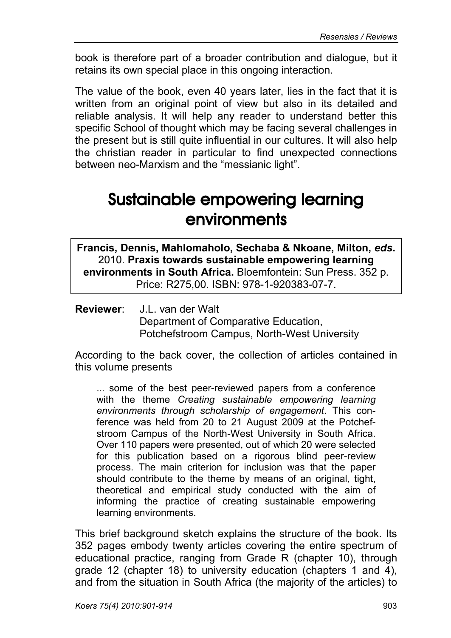book is therefore part of a broader contribution and dialogue, but it retains its own special place in this ongoing interaction.

The value of the book, even 40 years later, lies in the fact that it is written from an original point of view but also in its detailed and reliable analysis. It will help any reader to understand better this specific School of thought which may be facing several challenges in the present but is still quite influential in our cultures. It will also help the christian reader in particular to find unexpected connections between neo-Marxism and the "messianic light".

## Sustainable empowering learning environments

**Francis, Dennis, Mahlomaholo, Sechaba & Nkoane, Milton,** *eds***.** 2010. **Praxis towards sustainable empowering learning environments in South Africa.** Bloemfontein: Sun Press. 352 p. Price: R275,00. ISBN: 978-1-920383-07-7.

**Reviewer**: J.L. van der Walt Department of Comparative Education, Potchefstroom Campus, North-West University

According to the back cover, the collection of articles contained in this volume presents

... some of the best peer-reviewed papers from a conference with the theme *Creating sustainable empowering learning environments through scholarship of engagement*. This conference was held from 20 to 21 August 2009 at the Potchefstroom Campus of the North-West University in South Africa. Over 110 papers were presented, out of which 20 were selected for this publication based on a rigorous blind peer-review process. The main criterion for inclusion was that the paper should contribute to the theme by means of an original, tight, theoretical and empirical study conducted with the aim of informing the practice of creating sustainable empowering learning environments.

This brief background sketch explains the structure of the book. Its 352 pages embody twenty articles covering the entire spectrum of educational practice, ranging from Grade R (chapter 10), through grade 12 (chapter 18) to university education (chapters 1 and 4), and from the situation in South Africa (the majority of the articles) to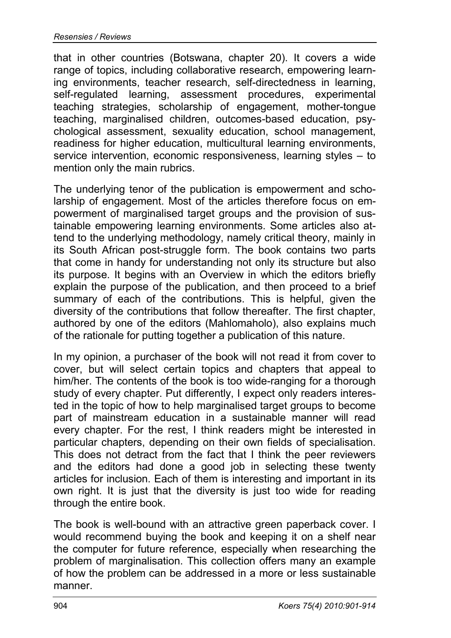that in other countries (Botswana, chapter 20). It covers a wide range of topics, including collaborative research, empowering learning environments, teacher research, self-directedness in learning, self-regulated learning, assessment procedures, experimental teaching strategies, scholarship of engagement, mother-tongue teaching, marginalised children, outcomes-based education, psychological assessment, sexuality education, school management, readiness for higher education, multicultural learning environments, service intervention, economic responsiveness, learning styles – to mention only the main rubrics.

The underlying tenor of the publication is empowerment and scholarship of engagement. Most of the articles therefore focus on empowerment of marginalised target groups and the provision of sustainable empowering learning environments. Some articles also attend to the underlying methodology, namely critical theory, mainly in its South African post-struggle form. The book contains two parts that come in handy for understanding not only its structure but also its purpose. It begins with an Overview in which the editors briefly explain the purpose of the publication, and then proceed to a brief summary of each of the contributions. This is helpful, given the diversity of the contributions that follow thereafter. The first chapter, authored by one of the editors (Mahlomaholo), also explains much of the rationale for putting together a publication of this nature.

In my opinion, a purchaser of the book will not read it from cover to cover, but will select certain topics and chapters that appeal to him/her. The contents of the book is too wide-ranging for a thorough study of every chapter. Put differently, I expect only readers interested in the topic of how to help marginalised target groups to become part of mainstream education in a sustainable manner will read every chapter. For the rest, I think readers might be interested in particular chapters, depending on their own fields of specialisation. This does not detract from the fact that I think the peer reviewers and the editors had done a good job in selecting these twenty articles for inclusion. Each of them is interesting and important in its own right. It is just that the diversity is just too wide for reading through the entire book.

The book is well-bound with an attractive green paperback cover. I would recommend buying the book and keeping it on a shelf near the computer for future reference, especially when researching the problem of marginalisation. This collection offers many an example of how the problem can be addressed in a more or less sustainable manner.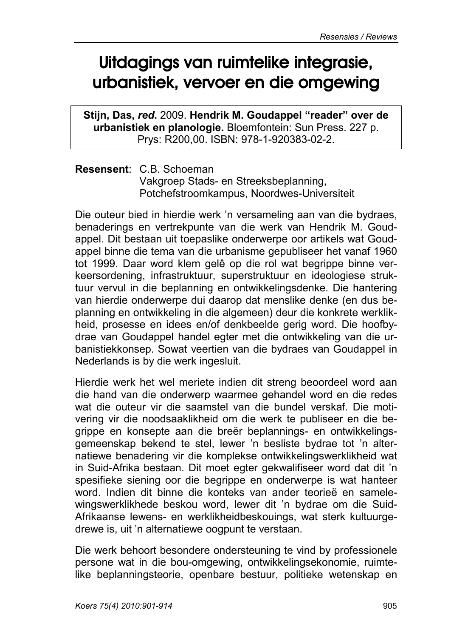# Uitdagings van ruimtelike integrasie, urbanistiek, vervoer en die omgewing

**Stijn, Das,** *red***.** 2009. **Hendrik M. Goudappel "reader" over de urbanistiek en planologie.** Bloemfontein: Sun Press. 227 p. Prys: R200,00. ISBN: 978-1-920383-02-2.

**Resensent**: C.B. Schoeman Vakgroep Stads- en Streeksbeplanning, Potchefstroomkampus, Noordwes-Universiteit

Die outeur bied in hierdie werk 'n versameling aan van die bydraes, benaderings en vertrekpunte van die werk van Hendrik M. Goudappel. Dit bestaan uit toepaslike onderwerpe oor artikels wat Goudappel binne die tema van die urbanisme gepubliseer het vanaf 1960 tot 1999. Daar word klem gelê op die rol wat begrippe binne verkeersordening, infrastruktuur, superstruktuur en ideologiese struktuur vervul in die beplanning en ontwikkelingsdenke. Die hantering van hierdie onderwerpe dui daarop dat menslike denke (en dus beplanning en ontwikkeling in die algemeen) deur die konkrete werklikheid, prosesse en idees en/of denkbeelde gerig word. Die hoofbydrae van Goudappel handel egter met die ontwikkeling van die urbanistiekkonsep. Sowat veertien van die bydraes van Goudappel in Nederlands is by die werk ingesluit.

Hierdie werk het wel meriete indien dit streng beoordeel word aan die hand van die onderwerp waarmee gehandel word en die redes wat die outeur vir die saamstel van die bundel verskaf. Die motivering vir die noodsaaklikheid om die werk te publiseer en die begrippe en konsepte aan die breër beplannings- en ontwikkelingsgemeenskap bekend te stel, lewer 'n besliste bydrae tot 'n alternatiewe benadering vir die komplekse ontwikkelingswerklikheid wat in Suid-Afrika bestaan. Dit moet egter gekwalifiseer word dat dit 'n spesifieke siening oor die begrippe en onderwerpe is wat hanteer word. Indien dit binne die konteks van ander teorieë en samelewingswerklikhede beskou word, lewer dit 'n bydrae om die Suid-Afrikaanse lewens- en werklikheidbeskouings, wat sterk kultuurgedrewe is, uit 'n alternatiewe oogpunt te verstaan.

Die werk behoort besondere ondersteuning te vind by professionele persone wat in die bou-omgewing, ontwikkelingsekonomie, ruimtelike beplanningsteorie, openbare bestuur, politieke wetenskap en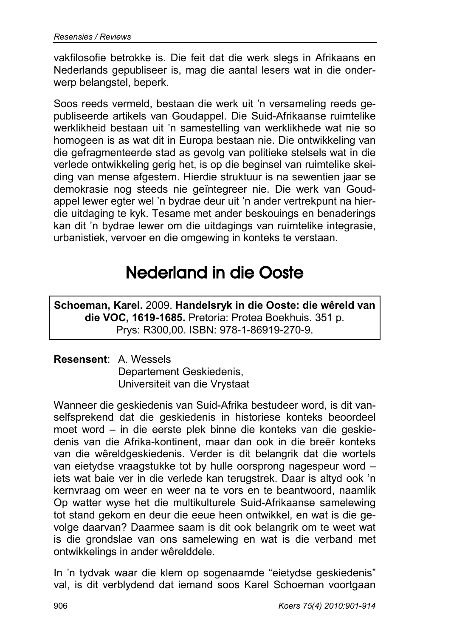vakfilosofie betrokke is. Die feit dat die werk slegs in Afrikaans en Nederlands gepubliseer is, mag die aantal lesers wat in die onderwerp belangstel, beperk.

Soos reeds vermeld, bestaan die werk uit 'n versameling reeds gepubliseerde artikels van Goudappel. Die Suid-Afrikaanse ruimtelike werklikheid bestaan uit 'n samestelling van werklikhede wat nie so homogeen is as wat dit in Europa bestaan nie. Die ontwikkeling van die gefragmenteerde stad as gevolg van politieke stelsels wat in die verlede ontwikkeling gerig het, is op die beginsel van ruimtelike skeiding van mense afgestem. Hierdie struktuur is na sewentien jaar se demokrasie nog steeds nie geïntegreer nie. Die werk van Goudappel lewer egter wel 'n bydrae deur uit 'n ander vertrekpunt na hierdie uitdaging te kyk. Tesame met ander beskouings en benaderings kan dit 'n bydrae lewer om die uitdagings van ruimtelike integrasie, urbanistiek, vervoer en die omgewing in konteks te verstaan.

## Nederland in die Ooste

**Schoeman, Karel.** 2009. **Handelsryk in die Ooste: die wêreld van die VOC, 1619-1685.** Pretoria: Protea Boekhuis. 351 p. Prys: R300,00. ISBN: 978-1-86919-270-9.

### **Resensent**: A. Wessels Departement Geskiedenis, Universiteit van die Vrystaat

Wanneer die geskiedenis van Suid-Afrika bestudeer word, is dit vanselfsprekend dat die geskiedenis in historiese konteks beoordeel moet word – in die eerste plek binne die konteks van die geskiedenis van die Afrika-kontinent, maar dan ook in die breër konteks van die wêreldgeskiedenis. Verder is dit belangrik dat die wortels van eietydse vraagstukke tot by hulle oorsprong nagespeur word – iets wat baie ver in die verlede kan terugstrek. Daar is altyd ook 'n kernvraag om weer en weer na te vors en te beantwoord, naamlik Op watter wyse het die multikulturele Suid-Afrikaanse samelewing tot stand gekom en deur die eeue heen ontwikkel, en wat is die gevolge daarvan? Daarmee saam is dit ook belangrik om te weet wat is die grondslae van ons samelewing en wat is die verband met ontwikkelings in ander wêrelddele.

In 'n tydvak waar die klem op sogenaamde "eietydse geskiedenis" val, is dit verblydend dat iemand soos Karel Schoeman voortgaan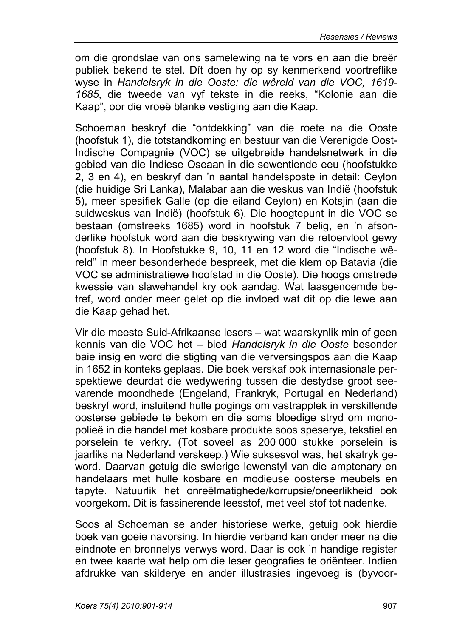om die grondslae van ons samelewing na te vors en aan die breër publiek bekend te stel. Dít doen hy op sy kenmerkend voortreflike wyse in *Handelsryk in die Ooste: die wêreld van die VOC, 1619- 1685*, die tweede van vyf tekste in die reeks, "Kolonie aan die Kaap", oor die vroeë blanke vestiging aan die Kaap.

Schoeman beskryf die "ontdekking" van die roete na die Ooste (hoofstuk 1), die totstandkoming en bestuur van die Verenigde Oost-Indische Compagnie (VOC) se uitgebreide handelsnetwerk in die gebied van die Indiese Oseaan in die sewentiende eeu (hoofstukke 2, 3 en 4), en beskryf dan 'n aantal handelsposte in detail: Ceylon (die huidige Sri Lanka), Malabar aan die weskus van Indië (hoofstuk 5), meer spesifiek Galle (op die eiland Ceylon) en Kotsjin (aan die suidweskus van Indië) (hoofstuk 6). Die hoogtepunt in die VOC se bestaan (omstreeks 1685) word in hoofstuk 7 belig, en 'n afsonderlike hoofstuk word aan die beskrywing van die retoervloot gewy (hoofstuk 8). In Hoofstukke 9, 10, 11 en 12 word die "Indische wêreld" in meer besonderhede bespreek, met die klem op Batavia (die VOC se administratiewe hoofstad in die Ooste). Die hoogs omstrede kwessie van slawehandel kry ook aandag. Wat laasgenoemde betref, word onder meer gelet op die invloed wat dit op die lewe aan die Kaap gehad het.

Vir die meeste Suid-Afrikaanse lesers – wat waarskynlik min of geen kennis van die VOC het – bied *Handelsryk in die Ooste* besonder baie insig en word die stigting van die verversingspos aan die Kaap in 1652 in konteks geplaas. Die boek verskaf ook internasionale perspektiewe deurdat die wedywering tussen die destydse groot seevarende moondhede (Engeland, Frankryk, Portugal en Nederland) beskryf word, insluitend hulle pogings om vastrapplek in verskillende oosterse gebiede te bekom en die soms bloedige stryd om monopolieë in die handel met kosbare produkte soos speserye, tekstiel en porselein te verkry. (Tot soveel as 200 000 stukke porselein is jaarliks na Nederland verskeep.) Wie suksesvol was, het skatryk geword. Daarvan getuig die swierige lewenstyl van die amptenary en handelaars met hulle kosbare en modieuse oosterse meubels en tapyte. Natuurlik het onreëlmatighede/korrupsie/oneerlikheid ook voorgekom. Dit is fassinerende leesstof, met veel stof tot nadenke.

Soos al Schoeman se ander historiese werke, getuig ook hierdie boek van goeie navorsing. In hierdie verband kan onder meer na die eindnote en bronnelys verwys word. Daar is ook 'n handige register en twee kaarte wat help om die leser geografies te oriënteer. Indien afdrukke van skilderye en ander illustrasies ingevoeg is (byvoor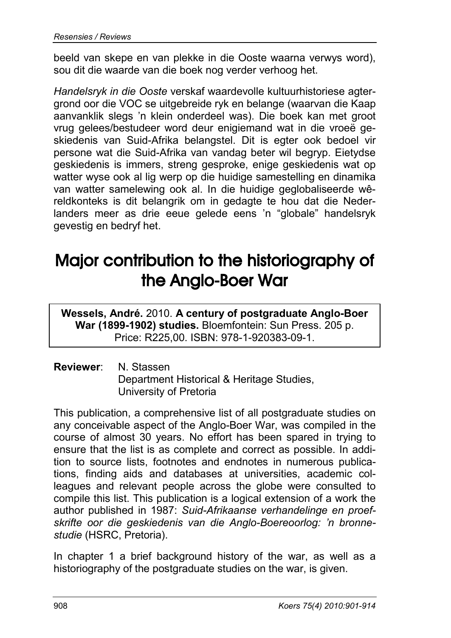beeld van skepe en van plekke in die Ooste waarna verwys word), sou dit die waarde van die boek nog verder verhoog het.

*Handelsryk in die Ooste* verskaf waardevolle kultuurhistoriese agtergrond oor die VOC se uitgebreide ryk en belange (waarvan die Kaap aanvanklik slegs 'n klein onderdeel was). Die boek kan met groot vrug gelees/bestudeer word deur enigiemand wat in die vroeë geskiedenis van Suid-Afrika belangstel. Dit is egter ook bedoel vir persone wat die Suid-Afrika van vandag beter wil begryp. Eietydse geskiedenis is immers, streng gesproke, enige geskiedenis wat op watter wyse ook al lig werp op die huidige samestelling en dinamika van watter samelewing ook al. In die huidige geglobaliseerde wêreldkonteks is dit belangrik om in gedagte te hou dat die Nederlanders meer as drie eeue gelede eens 'n "globale" handelsryk gevestig en bedryf het.

# Major contribution to the historiography of the Anglo-Boer War

**Wessels, André.** 2010. **A century of postgraduate Anglo-Boer War (1899-1902) studies.** Bloemfontein: Sun Press. 205 p. Price: R225,00. ISBN: 978-1-920383-09-1.

### **Reviewer**: N. Stassen Department Historical & Heritage Studies, University of Pretoria

This publication, a comprehensive list of all postgraduate studies on any conceivable aspect of the Anglo-Boer War, was compiled in the course of almost 30 years. No effort has been spared in trying to ensure that the list is as complete and correct as possible. In addition to source lists, footnotes and endnotes in numerous publications, finding aids and databases at universities, academic colleagues and relevant people across the globe were consulted to compile this list. This publication is a logical extension of a work the author published in 1987: *Suid-Afrikaanse verhandelinge en proefskrifte oor die geskiedenis van die Anglo-Boereoorlog: 'n bronnestudie* (HSRC, Pretoria).

In chapter 1 a brief background history of the war, as well as a historiography of the postgraduate studies on the war, is given.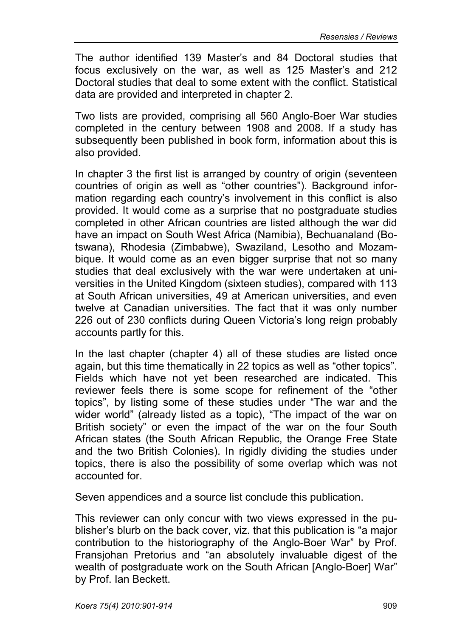The author identified 139 Master's and 84 Doctoral studies that focus exclusively on the war, as well as 125 Master's and 212 Doctoral studies that deal to some extent with the conflict. Statistical data are provided and interpreted in chapter 2.

Two lists are provided, comprising all 560 Anglo-Boer War studies completed in the century between 1908 and 2008. If a study has subsequently been published in book form, information about this is also provided.

In chapter 3 the first list is arranged by country of origin (seventeen countries of origin as well as "other countries"). Background information regarding each country's involvement in this conflict is also provided. It would come as a surprise that no postgraduate studies completed in other African countries are listed although the war did have an impact on South West Africa (Namibia), Bechuanaland (Botswana), Rhodesia (Zimbabwe), Swaziland, Lesotho and Mozambique. It would come as an even bigger surprise that not so many studies that deal exclusively with the war were undertaken at universities in the United Kingdom (sixteen studies), compared with 113 at South African universities, 49 at American universities, and even twelve at Canadian universities. The fact that it was only number 226 out of 230 conflicts during Queen Victoria's long reign probably accounts partly for this.

In the last chapter (chapter 4) all of these studies are listed once again, but this time thematically in 22 topics as well as "other topics". Fields which have not yet been researched are indicated. This reviewer feels there is some scope for refinement of the "other topics", by listing some of these studies under "The war and the wider world" (already listed as a topic), "The impact of the war on British society" or even the impact of the war on the four South African states (the South African Republic, the Orange Free State and the two British Colonies). In rigidly dividing the studies under topics, there is also the possibility of some overlap which was not accounted for.

Seven appendices and a source list conclude this publication.

This reviewer can only concur with two views expressed in the publisher's blurb on the back cover, viz. that this publication is "a major contribution to the historiography of the Anglo-Boer War" by Prof. Fransjohan Pretorius and "an absolutely invaluable digest of the wealth of postgraduate work on the South African [Anglo-Boer] War" by Prof. Ian Beckett.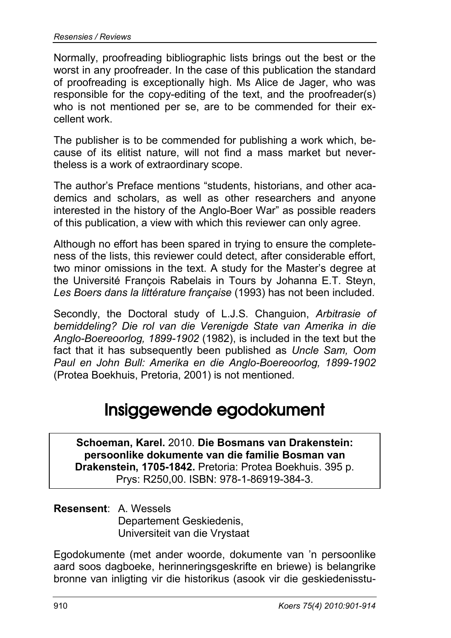Normally, proofreading bibliographic lists brings out the best or the worst in any proofreader. In the case of this publication the standard of proofreading is exceptionally high. Ms Alice de Jager, who was responsible for the copy-editing of the text, and the proofreader(s) who is not mentioned per se, are to be commended for their excellent work.

The publisher is to be commended for publishing a work which, because of its elitist nature, will not find a mass market but nevertheless is a work of extraordinary scope.

The author's Preface mentions "students, historians, and other academics and scholars, as well as other researchers and anyone interested in the history of the Anglo-Boer War" as possible readers of this publication, a view with which this reviewer can only agree.

Although no effort has been spared in trying to ensure the completeness of the lists, this reviewer could detect, after considerable effort, two minor omissions in the text. A study for the Master's degree at the Université François Rabelais in Tours by Johanna E.T. Steyn, *Les Boers dans la littérature française* (1993) has not been included.

Secondly, the Doctoral study of L.J.S. Changuion, *Arbitrasie of bemiddeling? Die rol van die Verenigde State van Amerika in die Anglo-Boereoorlog, 1899-1902* (1982), is included in the text but the fact that it has subsequently been published as *Uncle Sam, Oom Paul en John Bull: Amerika en die Anglo-Boereoorlog, 1899-1902* (Protea Boekhuis, Pretoria, 2001) is not mentioned.

### Insiggewende egodokument

**Schoeman, Karel.** 2010. **Die Bosmans van Drakenstein: persoonlike dokumente van die familie Bosman van Drakenstein, 1705-1842.** Pretoria: Protea Boekhuis. 395 p. Prys: R250,00. ISBN: 978-1-86919-384-3.

**Resensent**: A. Wessels Departement Geskiedenis, Universiteit van die Vrystaat

Egodokumente (met ander woorde, dokumente van 'n persoonlike aard soos dagboeke, herinneringsgeskrifte en briewe) is belangrike bronne van inligting vir die historikus (asook vir die geskiedenisstu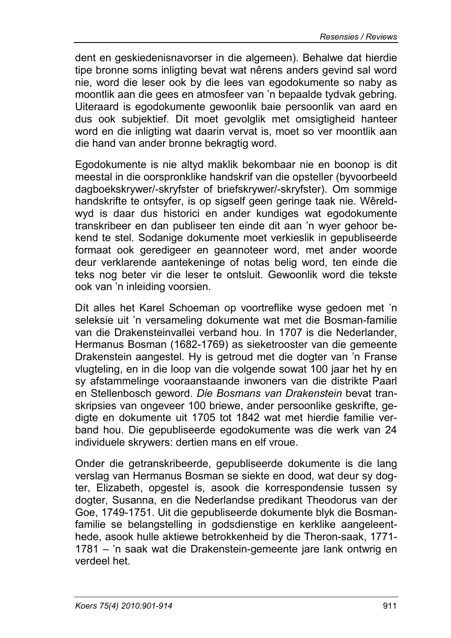dent en geskiedenisnavorser in die algemeen). Behalwe dat hierdie tipe bronne soms inligting bevat wat nêrens anders gevind sal word nie, word die leser ook by die lees van egodokumente so naby as moontlik aan die gees en atmosfeer van 'n bepaalde tydvak gebring. Uiteraard is egodokumente gewoonlik baie persoonlik van aard en dus ook subjektief. Dit moet gevolglik met omsigtigheid hanteer word en die inligting wat daarin vervat is, moet so ver moontlik aan die hand van ander bronne bekragtig word.

Egodokumente is nie altyd maklik bekombaar nie en boonop is dit meestal in die oorspronklike handskrif van die opsteller (byvoorbeeld dagboekskrywer/-skryfster of briefskrywer/-skryfster). Om sommige handskrifte te ontsyfer, is op sigself geen geringe taak nie. Wêreldwyd is daar dus historici en ander kundiges wat egodokumente transkribeer en dan publiseer ten einde dit aan 'n wyer gehoor bekend te stel. Sodanige dokumente moet verkieslik in gepubliseerde formaat ook geredigeer en geannoteer word, met ander woorde deur verklarende aantekeninge of notas belig word, ten einde die teks nog beter vir die leser te ontsluit. Gewoonlik word die tekste ook van 'n inleiding voorsien.

Dít alles het Karel Schoeman op voortreflike wyse gedoen met 'n seleksie uit 'n versameling dokumente wat met die Bosman-familie van die Drakensteinvallei verband hou. In 1707 is die Nederlander, Hermanus Bosman (1682-1769) as sieketrooster van die gemeente Drakenstein aangestel. Hy is getroud met die dogter van 'n Franse vlugteling, en in die loop van die volgende sowat 100 jaar het hy en sy afstammelinge vooraanstaande inwoners van die distrikte Paarl en Stellenbosch geword. *Die Bosmans van Drakenstein* bevat transkripsies van ongeveer 100 briewe, ander persoonlike geskrifte, gedigte en dokumente uit 1705 tot 1842 wat met hierdie familie verband hou. Die gepubliseerde egodokumente was die werk van 24 individuele skrywers: dertien mans en elf vroue.

Onder die getranskribeerde, gepubliseerde dokumente is die lang verslag van Hermanus Bosman se siekte en dood, wat deur sy dogter, Elizabeth, opgestel is, asook die korrespondensie tussen sy dogter, Susanna, en die Nederlandse predikant Theodorus van der Goe, 1749-1751. Uit die gepubliseerde dokumente blyk die Bosmanfamilie se belangstelling in godsdienstige en kerklike aangeleenthede, asook hulle aktiewe betrokkenheid by die Theron-saak, 1771- 1781 – 'n saak wat die Drakenstein-gemeente jare lank ontwrig en verdeel het.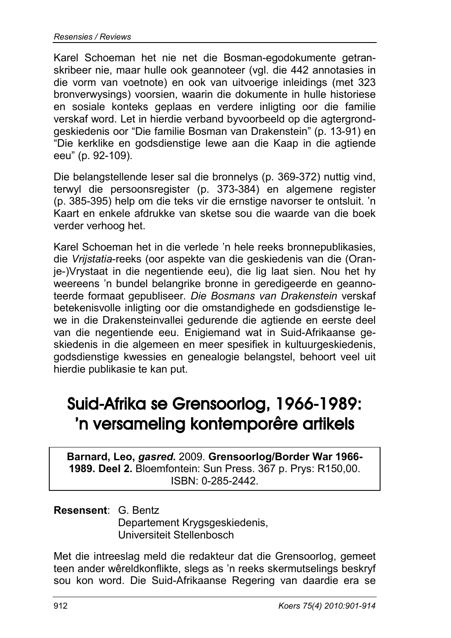Karel Schoeman het nie net die Bosman-egodokumente getranskribeer nie, maar hulle ook geannoteer (vgl. die 442 annotasies in die vorm van voetnote) en ook van uitvoerige inleidings (met 323 bronverwysings) voorsien, waarin die dokumente in hulle historiese en sosiale konteks geplaas en verdere inligting oor die familie verskaf word. Let in hierdie verband byvoorbeeld op die agtergrondgeskiedenis oor "Die familie Bosman van Drakenstein" (p. 13-91) en "Die kerklike en godsdienstige lewe aan die Kaap in die agtiende eeu" (p. 92-109).

Die belangstellende leser sal die bronnelys (p. 369-372) nuttig vind, terwyl die persoonsregister (p. 373-384) en algemene register (p. 385-395) help om die teks vir die ernstige navorser te ontsluit. 'n Kaart en enkele afdrukke van sketse sou die waarde van die boek verder verhoog het.

Karel Schoeman het in die verlede 'n hele reeks bronnepublikasies, die *Vrijstatia*-reeks (oor aspekte van die geskiedenis van die (Oranje-)Vrystaat in die negentiende eeu), die lig laat sien. Nou het hy weereens 'n bundel belangrike bronne in geredigeerde en geannoteerde formaat gepubliseer. *Die Bosmans van Drakenstein* verskaf betekenisvolle inligting oor die omstandighede en godsdienstige lewe in die Drakensteinvallei gedurende die agtiende en eerste deel van die negentiende eeu. Enigiemand wat in Suid-Afrikaanse geskiedenis in die algemeen en meer spesifiek in kultuurgeskiedenis, godsdienstige kwessies en genealogie belangstel, behoort veel uit hierdie publikasie te kan put.

## Suid-Afrika se Grensoorlog, 1966-1989: 'n versameling kontemporêre artikels

**Barnard, Leo,** *gasred***.** 2009. **Grensoorlog/Border War 1966- 1989. Deel 2.** Bloemfontein: Sun Press. 367 p. Prys: R150,00. ISBN: 0-285-2442.

#### **Resensent**: G. Bentz

Departement Krygsgeskiedenis, Universiteit Stellenbosch

Met die intreeslag meld die redakteur dat die Grensoorlog, gemeet teen ander wêreldkonflikte, slegs as 'n reeks skermutselings beskryf sou kon word. Die Suid-Afrikaanse Regering van daardie era se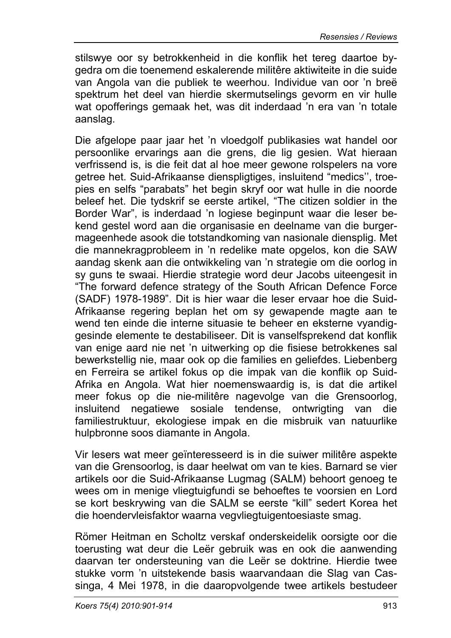stilswye oor sy betrokkenheid in die konflik het tereg daartoe bygedra om die toenemend eskalerende militêre aktiwiteite in die suide van Angola van die publiek te weerhou. Individue van oor 'n breë spektrum het deel van hierdie skermutselings gevorm en vir hulle wat opofferings gemaak het, was dit inderdaad 'n era van 'n totale aanslag.

Die afgelope paar jaar het 'n vloedgolf publikasies wat handel oor persoonlike ervarings aan die grens, die lig gesien. Wat hieraan verfrissend is, is die feit dat al hoe meer gewone rolspelers na vore getree het. Suid-Afrikaanse dienspligtiges, insluitend "medics'', troepies en selfs "parabats" het begin skryf oor wat hulle in die noorde beleef het. Die tydskrif se eerste artikel, "The citizen soldier in the Border War", is inderdaad 'n logiese beginpunt waar die leser bekend gestel word aan die organisasie en deelname van die burgermageenhede asook die totstandkoming van nasionale diensplig. Met die mannekragprobleem in 'n redelike mate opgelos, kon die SAW aandag skenk aan die ontwikkeling van 'n strategie om die oorlog in sy guns te swaai. Hierdie strategie word deur Jacobs uiteengesit in "The forward defence strategy of the South African Defence Force (SADF) 1978-1989". Dit is hier waar die leser ervaar hoe die Suid-Afrikaanse regering beplan het om sy gewapende magte aan te wend ten einde die interne situasie te beheer en eksterne vyandiggesinde elemente te destabiliseer. Dit is vanselfsprekend dat konflik van enige aard nie net 'n uitwerking op die fisiese betrokkenes sal bewerkstellig nie, maar ook op die families en geliefdes. Liebenberg en Ferreira se artikel fokus op die impak van die konflik op Suid-Afrika en Angola. Wat hier noemenswaardig is, is dat die artikel meer fokus op die nie-militêre nagevolge van die Grensoorlog, insluitend negatiewe sosiale tendense, ontwrigting van die familiestruktuur, ekologiese impak en die misbruik van natuurlike hulpbronne soos diamante in Angola.

Vir lesers wat meer geïnteresseerd is in die suiwer militêre aspekte van die Grensoorlog, is daar heelwat om van te kies. Barnard se vier artikels oor die Suid-Afrikaanse Lugmag (SALM) behoort genoeg te wees om in menige vliegtuigfundi se behoeftes te voorsien en Lord se kort beskrywing van die SALM se eerste "kill" sedert Korea het die hoendervleisfaktor waarna vegvliegtuigentoesiaste smag.

Römer Heitman en Scholtz verskaf onderskeidelik oorsigte oor die toerusting wat deur die Leër gebruik was en ook die aanwending daarvan ter ondersteuning van die Leër se doktrine. Hierdie twee stukke vorm 'n uitstekende basis waarvandaan die Slag van Cassinga, 4 Mei 1978, in die daaropvolgende twee artikels bestudeer